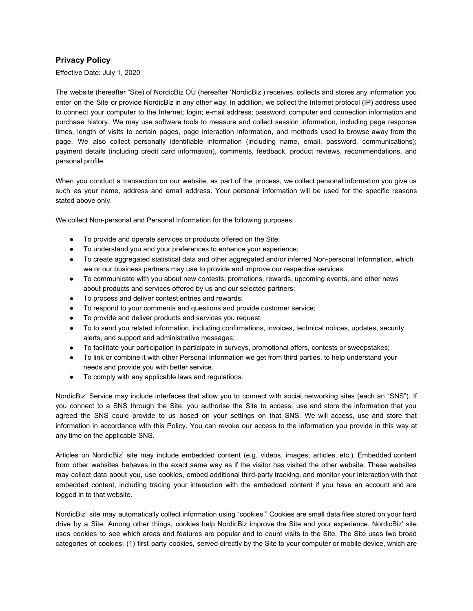## **Privacy Policy**

Effective Date: July 1, 2020

The website (hereafter "Site) of NordicBiz OÜ (hereafter 'NordicBiz') receives, collects and stores any information you enter on the Site or provide NordicBiz in any other way. In addition, we collect the Internet protocol (IP) address used to connect your computer to the Internet; login; e-mail address; password; computer and connection information and purchase history. We may use software tools to measure and collect session information, including page response times, length of visits to certain pages, page interaction information, and methods used to browse away from the page. We also collect personally identifiable information (including name, email, password, communications); payment details (including credit card information), comments, feedback, product reviews, recommendations, and personal profile.

When you conduct a transaction on our website, as part of the process, we collect personal information you give us such as your name, address and email address. Your personal information will be used for the specific reasons stated above only.

We collect Non-personal and Personal Information for the following purposes:

- To provide and operate services or products offered on the Site;
- To understand you and your preferences to enhance your experience;
- To create aggregated statistical data and other aggregated and/or inferred Non-personal Information, which we or our business partners may use to provide and improve our respective services;
- To communicate with you about new contests, promotions, rewards, upcoming events, and other news about products and services offered by us and our selected partners;
- To process and deliver contest entries and rewards;
- To respond to your comments and questions and provide customer service;
- To provide and deliver products and services you request;
- To to send you related information, including confirmations, invoices, technical notices, updates, security alerts, and support and administrative messages;
- To facilitate your participation in participate in surveys, promotional offers, contests or sweepstakes;
- To link or combine it with other Personal Information we get from third parties, to help understand your needs and provide you with better service.
- To comply with any applicable laws and regulations.

NordicBiz' Service may include interfaces that allow you to connect with social networking sites (each an "SNS"). If you connect to a SNS through the Site, you authorise the Site to access, use and store the information that you agreed the SNS could provide to us based on your settings on that SNS. We will access, use and store that information in accordance with this Policy. You can revoke our access to the information you provide in this way at any time on the applicable SNS.

Articles on NordicBiz' site may include embedded content (e.g. videos, images, articles, etc.). Embedded content from other websites behaves in the exact same way as if the visitor has visited the other website. These websites may collect data about you, use cookies, embed additional third-party tracking, and monitor your interaction with that embedded content, including tracing your interaction with the embedded content if you have an account and are logged in to that website.

NordicBiz' site may automatically collect information using "cookies." Cookies are small data files stored on your hard drive by a Site. Among other things, cookies help NordicBiz improve the Site and your experience. NordicBiz' site uses cookies to see which areas and features are popular and to count visits to the Site. The Site uses two broad categories of cookies: (1) first party cookies, served directly by the Site to your computer or mobile device, which are